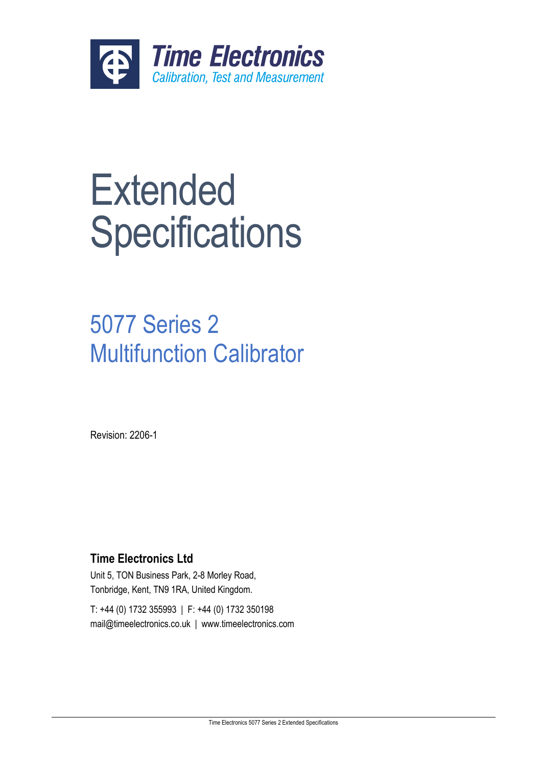

# **Extended Specifications**

## 5077 Series 2 Multifunction Calibrator

Revision: 2206-1

## **Time Electronics Ltd**

Unit 5, TON Business Park, 2-8 Morley Road, Tonbridge, Kent, TN9 1RA, United Kingdom.

T: +44 (0) 1732 355993 | F: +44 (0) 1732 350198 mail@timeelectronics.co.uk | www.timeelectronics.com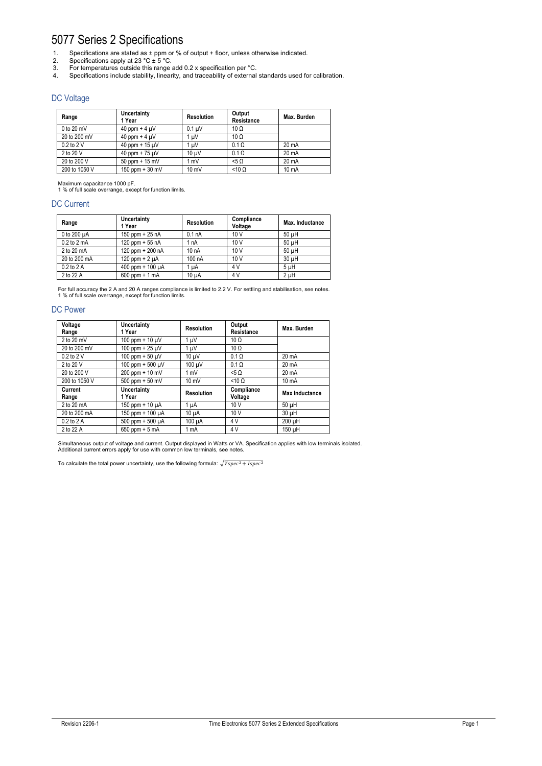## 5077 Series 2 Specifications

- 1. Specifications are stated as  $\pm$  ppm or % of output + floor, unless otherwise indicated.
- 2. Specifications apply at 23 °C  $\pm$  5 °C.
- 3. For temperatures outside this range add 0.2 x specification per °C.
- 4. Specifications include stability, linearity, and traceability of external standards used for calibration.

## DC Voltage

| Range          | Uncertainty<br>1 Year | <b>Resolution</b> | Output<br>Resistance | Max. Burden     |
|----------------|-----------------------|-------------------|----------------------|-----------------|
| $0$ to $20$ mV | 40 ppm + 4 $\mu$ V    | $0.1 \mu V$       | $10 \Omega$          |                 |
| 20 to 200 mV   | 40 ppm + 4 $\mu$ V    | $1 \mu V$         | $10 \Omega$          |                 |
| $0.2$ to $2$ V | 40 ppm + $15 \mu V$   | $1 \mu V$         | $0.1 \Omega$         | 20 mA           |
| 2 to 20 V      | 40 ppm + $75 \mu V$   | $10 \mu V$        | $0.1 \Omega$         | 20 mA           |
| 20 to 200 V    | $50$ ppm + 15 mV      | 1 mV              | 50<                  | $20 \text{ mA}$ |
| 200 to 1050 V  | $150$ ppm + $30$ mV   | $10 \text{ mV}$   | $< 10 \Omega$        | 10 mA           |

Maximum capacitance 1000 pF. 1 % of full scale overrange, except for function limits.

## DC Current

| Range                   | Uncertainty<br>1 Year | <b>Resolution</b> | Compliance<br>Voltage | Max. Inductance |
|-------------------------|-----------------------|-------------------|-----------------------|-----------------|
| 0 to 200 $\mu$ A        | 150 ppm $+25$ nA      | 0.1 <sub>nA</sub> | 10V                   | 50 uH           |
| $0.2$ to $2 \text{ mA}$ | 120 ppm $+55$ nA      | 1 <sub>n</sub> A  | 10V                   | 50 uH           |
| 2 to 20 mA              | 120 ppm + 200 nA      | 10 <sub>n</sub> A | 10V                   | 50 uH           |
| 20 to 200 mA            | 120 ppm + $2 \mu A$   | 100 nA            | 10 <sub>V</sub>       | 30 uH           |
| 0.2 to 2 A              | 400 ppm + $100 \mu A$ | 1 uA              | 4 V                   | 5 uH            |
| 2 to 22 A               | $600$ ppm + 1 mA      | 10 uA             | 4 V                   | $2$ $\mu$ H     |

For full accuracy the 2 A and 20 A ranges compliance is limited to 2.2 V. For settling and stabilisation, see notes. 1 % of full scale overrange, except for function limits.

## DC Power

| Voltage<br>Range | Uncertainty<br>1 Year        | <b>Resolution</b> | Output<br>Resistance  | Max. Burden       |
|------------------|------------------------------|-------------------|-----------------------|-------------------|
| 2 to 20 mV       | 100 ppm + 10 $\mu$ V         | 1 µV              | 10 $\Omega$           |                   |
| 20 to 200 mV     | 100 ppm + $25 \mu V$         | 1 µV              | $10 \Omega$           |                   |
| 0.2 to 2 V       | 100 ppm + 50 $\mu$ V         | $10 \mu V$        | $0.1 \Omega$          | 20 mA             |
| 2 to 20 V        | 100 ppm + $500 \mu V$        | 100 uV            | $0.1 \Omega$          | $20 \text{ mA}$   |
| 20 to 200 V      | 200 ppm + 10 mV              | 1 mV              | $5\Omega$             | 20 mA             |
| 200 to 1050 V    | $500$ ppm + $50$ mV          | 10 mV             | $< 10 \Omega$         | 10 <sub>m</sub> A |
| Current<br>Range | <b>Uncertainty</b><br>1 Year | <b>Resolution</b> | Compliance<br>Voltage | Max Inductance    |
| 2 to 20 mA       | 150 ppm + 10 $\mu$ A         | 1 µA              | 10V                   | $50 \mu H$        |
| 20 to 200 mA     | 150 ppm + 100 µA             | $10 \mu A$        | 10V                   | 30 µH             |
| $0.2$ to $2$ A   | $500$ ppm + $500$ $\mu$ A    | 100 uA            | 4V                    | 200 µH            |
| 2 to 22 A        | 650 ppm $+5$ mA              | 1 mA              | 4 V                   | 150 uH            |

Simultaneous output of voltage and current. Output displayed in Watts or VA. Specification applies with low terminals isolated.<br>Additional current errors apply for use with common low terminals, see notes.

To calculate the total power uncertainty, use the following formula:  $\sqrt{Vspec^2 + Ispec^2}$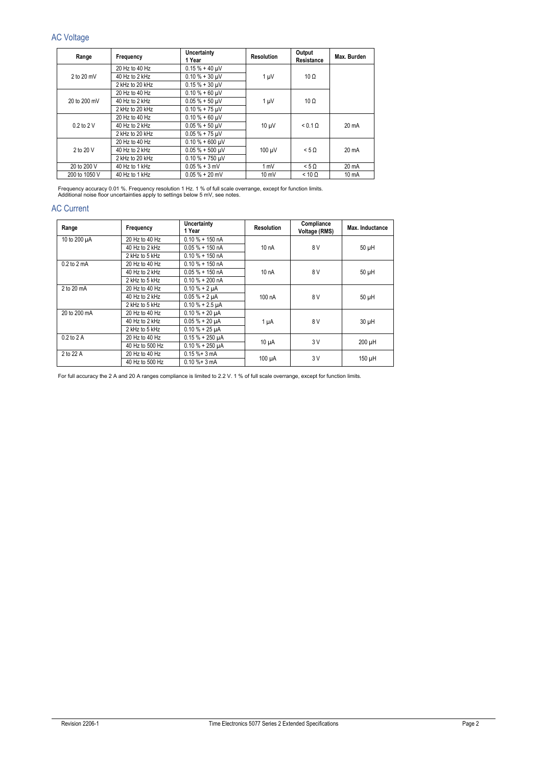## AC Voltage

| Range          | Frequency                                       | Uncertainty<br>1 Year | <b>Resolution</b> | Output<br>Resistance | Max. Burden |
|----------------|-------------------------------------------------|-----------------------|-------------------|----------------------|-------------|
|                | 20 Hz to 40 Hz                                  | $0.15 \% + 40 \mu V$  |                   |                      |             |
| $2$ to $20$ mV | 40 Hz to 2 kHz                                  | $0.10 \% + 30 \mu V$  | $1 \mu V$         | $10 \Omega$          |             |
|                | 2 kHz to 20 kHz                                 | $0.15 % + 30 \mu V$   |                   |                      |             |
|                | 20 Hz to 40 Hz                                  | $0.10 \% + 60$ uV     |                   |                      |             |
| 20 to 200 mV   | 40 Hz to 2 kHz                                  | $0.05 \% + 50 \mu V$  | $1 \mu V$         | $10 \Omega$          |             |
|                | $0.10 \% + 75 \,\mu\text{V}$<br>2 kHz to 20 kHz |                       |                   |                      |             |
|                | 20 Hz to 40 Hz                                  | $0.10 \% + 60 \mu V$  | $10 \mu V$        | $< 0.1 \Omega$       | 20 mA       |
| $0.2$ to $2$ V | 40 Hz to 2 kHz                                  | $0.05 \% + 50 \mu V$  |                   |                      |             |
|                | 2 kHz to 20 kHz                                 | $0.05 \% + 75 \mu V$  |                   |                      |             |
|                | 20 Hz to 40 Hz                                  | $0.10 \% + 600 \mu V$ |                   |                      |             |
| 2 to 20 V      | 40 Hz to 2 kHz                                  | $0.05 \% + 500 \mu V$ | 100 µV            | $< 5 \Omega$         | 20 mA       |
|                | 2 kHz to 20 kHz                                 | $0.10 \% + 750 \mu V$ |                   |                      |             |
| 20 to 200 V    | 40 Hz to 1 kHz                                  | $0.05 \% + 3 mV$      | 1 mV              | $< 5 \Omega$         | 20 mA       |
| 200 to 1050 V  | 40 Hz to 1 kHz                                  | $0.05 \% + 20 mV$     | $10 \text{ mV}$   | $< 10 \Omega$        | 10 mA       |

Frequency accuracy 0.01 %. Frequency resolution 1 Hz. 1 % of full scale overrange, except for function limits.<br>Additional noise floor uncertainties apply to settings below 5 mV, see notes.

## AC Current

| Range                   | Frequency       | Uncertainty<br>1 Year | <b>Resolution</b> | Compliance<br>Voltage (RMS) | Max. Inductance |
|-------------------------|-----------------|-----------------------|-------------------|-----------------------------|-----------------|
| 10 to 200 µA            | 20 Hz to 40 Hz  | $0.10 \% + 150 nA$    |                   |                             |                 |
|                         | 40 Hz to 2 kHz  | $0.05 \% + 150 nA$    | 10 nA             | 8 V                         | $50 \mu H$      |
|                         | 2 kHz to 5 kHz  | $0.10 \% + 150 nA$    |                   |                             |                 |
| $0.2$ to $2 \text{ mA}$ | 20 Hz to 40 Hz  | $0.10 \% + 150 nA$    |                   |                             |                 |
|                         | 40 Hz to 2 kHz  | $0.05 \% + 150 nA$    | 10 nA             | 8 V                         | $50 \mu H$      |
|                         | 2 kHz to 5 kHz  | $0.10 \% + 200 nA$    |                   |                             |                 |
| 2 to 20 mA              | 20 Hz to 40 Hz  | $0.10 \% + 2 \mu A$   |                   |                             |                 |
|                         | 40 Hz to 2 kHz  | $0.05 \% + 2 \mu A$   | 100 nA            | 8 V                         | $50 \mu H$      |
|                         | 2 kHz to 5 kHz  | $0.10 \% + 2.5 \mu A$ |                   |                             |                 |
| 20 to 200 mA            | 20 Hz to 40 Hz  | $0.10 \% + 20 \mu A$  |                   |                             |                 |
|                         | 40 Hz to 2 kHz  | $0.05 \% + 20 \mu A$  | $1 \mu A$         | 8 V                         | $30 \mu H$      |
|                         | 2 kHz to 5 kHz  | $0.10 \% + 25 \mu A$  |                   |                             |                 |
| $0.2$ to $2$ A          | 20 Hz to 40 Hz  | $0.15 \% + 250 \mu A$ |                   | 3V                          |                 |
|                         | 40 Hz to 500 Hz | $0.10 \% + 250 \mu A$ | $10 \mu A$        |                             | 200 µH          |
| 2 to 22 A               | 20 Hz to 40 Hz  | $0.15 \% + 3 mA$      |                   |                             |                 |
|                         | 40 Hz to 500 Hz | $0.10 \% + 3 mA$      | $100 \mu A$       | 3V                          | $150 \mu H$     |

For full accuracy the 2 A and 20 A ranges compliance is limited to 2.2 V. 1 % of full scale overrange, except for function limits.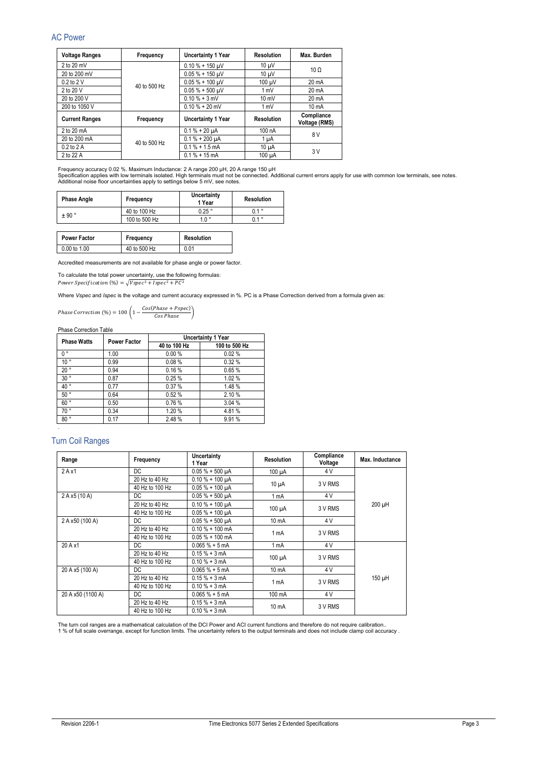## AC Power

| <b>Voltage Ranges</b> | Frequency    | Uncertainty 1 Year      | <b>Resolution</b> | Max. Burden                 |
|-----------------------|--------------|-------------------------|-------------------|-----------------------------|
| $2$ to $20$ mV        |              | $0.10 \% + 150 \mu V$   | $10 \mu V$        | $10 \Omega$                 |
| 20 to 200 mV          |              | $0.05 % + 150$ uV       | $10 \mu V$        |                             |
| $0.2$ to $2$ V        | 40 to 500 Hz | $0.05% + 100 \mu V$     | 100 µV            | $20 \text{ mA}$             |
| 2 to 20 V             |              | $0.05 \% + 500 \mu V$   | 1 mV              | $20 \text{ mA}$             |
| 20 to 200 V           |              | $0.10 \% + 3 mV$        | $10 \text{ mV}$   | $20 \text{ mA}$             |
| 200 to 1050 V         |              | $0.10 \% + 20$ mV       | 1 mV              | $10 \text{ mA}$             |
| <b>Current Ranges</b> | Frequency    | Uncertainty 1 Year      | <b>Resolution</b> | Compliance<br>Voltage (RMS) |
| 2 to 20 mA            |              | $0.1\% + 20 \mu A$      | 100 nA            | 8 V                         |
| 20 to 200 mA          | 40 to 500 Hz | $0.1\% + 200 \mu A$     | 1 µA              |                             |
| $0.2$ to $2$ A        |              | $0.1\% + 1.5$ mA        | $10 \mu A$        | 3 V                         |
| 2 to 22 A             |              | $0.1\% + 15 \text{ mA}$ | 100 µA            |                             |

Frequency accuracy 0.02 %. Maximum Inductance: 2 A range 200 µH, 20 A range 150 µH<br>Specification applies with low terminals isolated. High terminals must not be connected. Additional current errors apply for use with comm

| <b>Phase Angle</b> | Frequency     | Uncertainty<br>1 Year | Resolution       |
|--------------------|---------------|-----------------------|------------------|
| ± 90°              | 40 to 100 Hz  | $0.25$ $^{\circ}$     | $0.1$ $^{\circ}$ |
|                    | 100 to 500 Hz | $1.0^{\circ}$         | $0.1$ $^{\circ}$ |

| <b>Power Factor</b> | Frequency    | <b>Resolution</b> |
|---------------------|--------------|-------------------|
| 0.00 to 1.00        | 40 to 500 Hz | 0.01              |

Accredited measurements are not available for phase angle or power factor.

To calculate the total power uncertainty, use the following formulas: Power Specification  $(\%) = \sqrt{Vspec^2 + Ispec^2 + PC^2}$ 

Where *Vspec* and *Ispec* is the voltage and current accuracy expressed in %. PC is a Phase Correction derived from a formula given as:

*Phase Correction* (%) = 100  $\left(1 - \frac{Cos(Phase + Pspec)}{Cos Phase}\right)$ 

Phase Correction Table

| <b>Phase Watts</b><br><b>Power Factor</b> |      |              | <b>Uncertainty 1 Year</b> |
|-------------------------------------------|------|--------------|---------------------------|
|                                           |      | 40 to 100 Hz | 100 to 500 Hz             |
| 0.                                        | 1.00 | 0.00%        | 0.02%                     |
| 10 <sup>°</sup>                           | 0.99 | 0.08%        | 0.32%                     |
| 20°                                       | 0.94 | 0.16%        | 0.65%                     |
| 30°                                       | 0.87 | 0.25%        | 1.02%                     |
| 40°                                       | 0.77 | 0.37%        | 1.48 %                    |
| 50°                                       | 0.64 | 0.52%        | 2.10 %                    |
| 60°                                       | 0.50 | 0.76%        | 3.04%                     |
| 70°                                       | 0.34 | 1.20 %       | 4.81%                     |
| 80°                                       | 0.17 | 2.48%        | 9.91%                     |

## Turn Coil Ranges

.

| Range             | Frequency       | Uncertainty<br>1 Year | <b>Resolution</b> | Compliance<br>Voltage | Max. Inductance |
|-------------------|-----------------|-----------------------|-------------------|-----------------------|-----------------|
| $2A \times 1$     | DC.             | $0.05% + 500 \mu A$   | $100 \mu A$       | 4 V                   |                 |
|                   | 20 Hz to 40 Hz  | $0.10 \% + 100 \mu A$ |                   | 3 V RMS               |                 |
|                   | 40 Hz to 100 Hz | $0.05% + 100 \mu A$   | $10 \mu A$        |                       |                 |
| 2 A x5 (10 A)     | DC              | $0.05% + 500 \mu A$   | 1 mA              | 4 V                   |                 |
|                   | 20 Hz to 40 Hz  | $0.10 \% + 100 \mu A$ |                   | 3 V RMS               | 200 µH          |
|                   | 40 Hz to 100 Hz | $0.05% + 100 \mu A$   | $100 \mu A$       |                       |                 |
| 2 A x50 (100 A)   | DC              | $0.05% + 500 \mu A$   | 10 mA             | 4 V                   |                 |
|                   | 20 Hz to 40 Hz  | $0.10 \% + 100$ mA    |                   |                       |                 |
|                   | 40 Hz to 100 Hz | $0.05 \% + 100$ mA    | 1 mA              | 3 V RMS               |                 |
| 20 A x1           | DC.             | $0.065 \% + 5 mA$     | 1 mA              | 4 V                   |                 |
|                   | 20 Hz to 40 Hz  | $0.15% + 3mA$         |                   | 3 V RMS               |                 |
|                   | 40 Hz to 100 Hz | $0.10 \% + 3 mA$      | $100 \mu A$       |                       |                 |
| 20 A x5 (100 A)   | DC.             | $0.065 \% + 5 mA$     | 10 mA             | 4 V                   |                 |
|                   | 20 Hz to 40 Hz  | $0.15% + 3mA$         |                   | 3 V RMS               | 150 µH          |
|                   | 40 Hz to 100 Hz | $0.10 \% + 3 mA$      | 1 mA              |                       |                 |
| 20 A x50 (1100 A) | DC              | $0.065 \% + 5 mA$     | 100 mA            | 4 V                   |                 |
|                   | 20 Hz to 40 Hz  | $0.15% + 3mA$         |                   |                       |                 |
|                   | 40 Hz to 100 Hz | $0.10 \% + 3 mA$      | 10 mA             | 3 V RMS               |                 |

The turn coil ranges are a mathematical calculation of the DCI Power and ACI current functions and therefore do not require calibration..<br>1 % of full scale overrange, except for function limits. The uncertainty refers to t